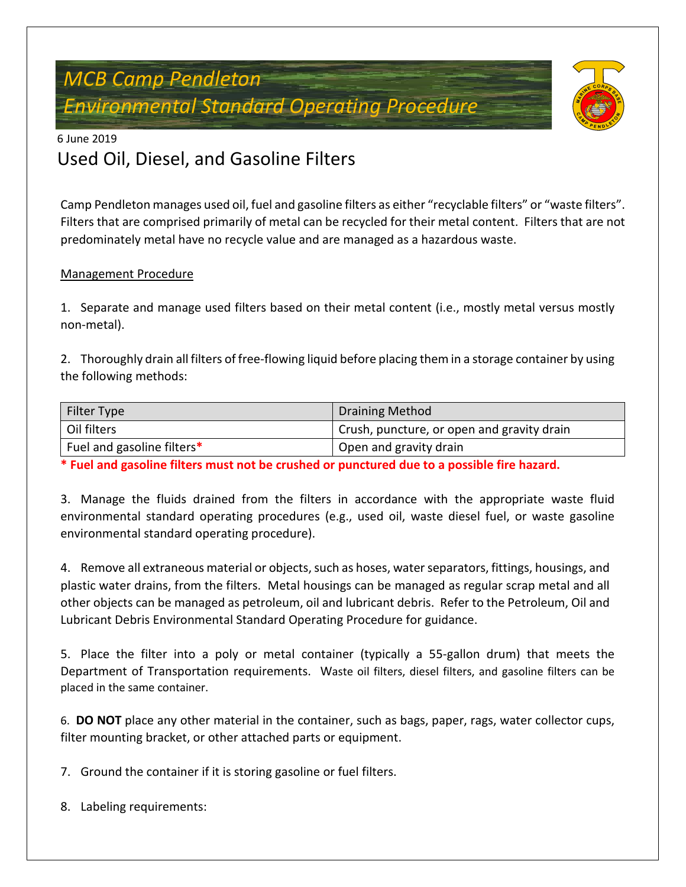# *MCB Camp Pendleton Environmental Standard Operating Procedure*



## 6 June 2019 Used Oil, Diesel, and Gasoline Filters

Camp Pendleton manages used oil, fuel and gasoline filters as either "recyclable filters" or "waste filters". Filters that are comprised primarily of metal can be recycled for their metal content. Filters that are not predominately metal have no recycle value and are managed as a hazardous waste.

### Management Procedure

1. Separate and manage used filters based on their metal content (i.e., mostly metal versus mostly non-metal).

2. Thoroughly drain all filters of free-flowing liquid before placing them in a storage container by using the following methods:

| Filter Type                | <b>Draining Method</b>                     |
|----------------------------|--------------------------------------------|
| Oil filters                | Crush, puncture, or open and gravity drain |
| Fuel and gasoline filters* | Open and gravity drain                     |

**\* Fuel and gasoline filters must not be crushed or punctured due to a possible fire hazard.**

3. Manage the fluids drained from the filters in accordance with the appropriate waste fluid environmental standard operating procedures (e.g., used oil, waste diesel fuel, or waste gasoline environmental standard operating procedure).

4. Remove all extraneous material or objects, such as hoses, water separators, fittings, housings, and plastic water drains, from the filters. Metal housings can be managed as regular scrap metal and all other objects can be managed as petroleum, oil and lubricant debris. Refer to the Petroleum, Oil and Lubricant Debris Environmental Standard Operating Procedure for guidance.

5. Place the filter into a poly or metal container (typically a 55-gallon drum) that meets the Department of Transportation requirements. Waste oil filters, diesel filters, and gasoline filters can be placed in the same container.

6. **DO NOT** place any other material in the container, such as bags, paper, rags, water collector cups, filter mounting bracket, or other attached parts or equipment.

7. Ground the container if it is storing gasoline or fuel filters.

8. Labeling requirements: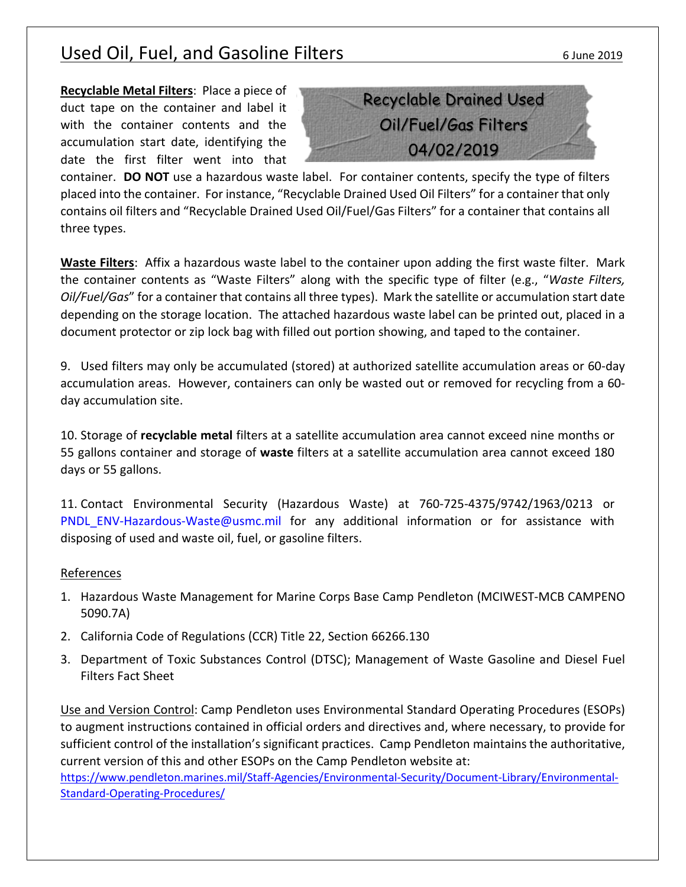## Used Oil, Fuel, and Gasoline Filters 6 June 2019

**Recyclable Metal Filters**: Place a piece of duct tape on the container and label it with the container contents and the accumulation start date, identifying the date the first filter went into that



container. **DO NOT** use a hazardous waste label. For container contents, specify the type of filters placed into the container. For instance, "Recyclable Drained Used Oil Filters" for a container that only contains oil filters and "Recyclable Drained Used Oil/Fuel/Gas Filters" for a container that contains all three types.

**Waste Filters**: Affix a hazardous waste label to the container upon adding the first waste filter. Mark the container contents as "Waste Filters" along with the specific type of filter (e.g., "*Waste Filters, Oil/Fuel/Gas*" for a container that contains all three types). Mark the satellite or accumulation start date depending on the storage location. The attached hazardous waste label can be printed out, placed in a document protector or zip lock bag with filled out portion showing, and taped to the container.

9. Used filters may only be accumulated (stored) at authorized satellite accumulation areas or 60-day accumulation areas. However, containers can only be wasted out or removed for recycling from a 60 day accumulation site.

10. Storage of **recyclable metal** filters at a satellite accumulation area cannot exceed nine months or 55 gallons container and storage of **waste** filters at a satellite accumulation area cannot exceed 180 days or 55 gallons.

11. Contact Environmental Security (Hazardous Waste) at 760-725-4375/9742/1963/0213 or PNDL ENV-Hazardous-Waste@usmc.mil for any additional information or for assistance with disposing of used and waste oil, fuel, or gasoline filters.

#### References

- 1. Hazardous Waste Management for Marine Corps Base Camp Pendleton (MCIWEST-MCB CAMPENO 5090.7A)
- 2. California Code of Regulations (CCR) Title 22, Section 66266.130
- 3. Department of Toxic Substances Control (DTSC); Management of Waste Gasoline and Diesel Fuel Filters Fact Sheet

Use and Version Control: Camp Pendleton uses Environmental Standard Operating Procedures (ESOPs) to augment instructions contained in official orders and directives and, where necessary, to provide for sufficient control of the installation's significant practices. Camp Pendleton maintains the authoritative, current version of this and other ESOPs on the Camp Pendleton website at:

[https://www.pendleton.marines.mil/Staff-Agencies/Environmental-Security/Document-Library/Environmental-](https://www.pendleton.marines.mil/Staff-Agencies/Environmental-Security/Document-Library/Environmental-Standard-Operating-Procedures/)[Standard-Operating-Procedures/](https://www.pendleton.marines.mil/Staff-Agencies/Environmental-Security/Document-Library/Environmental-Standard-Operating-Procedures/)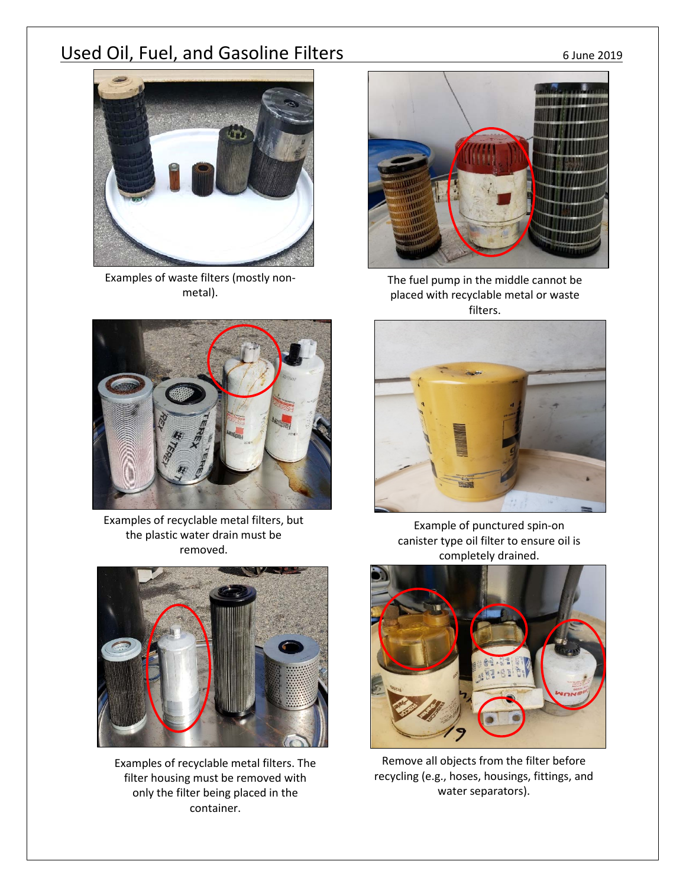## Used Oil, Fuel, and Gasoline Filters 6 June 2019

Examples of waste filters (mostly nonmetal).



the plastic water drain must be removed.



Examples of recyclable metal filters. The filter housing must be removed with only the filter being placed in the container.



The fuel pump in the middle cannot be placed with recyclable metal or waste filters.



Example of punctured spin-on canister type oil filter to ensure oil is completely drained.



Remove all objects from the filter before recycling (e.g., hoses, housings, fittings, and water separators).